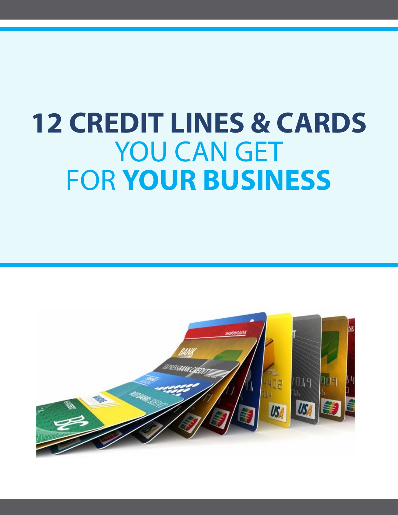# **12 CREDIT LINES & CARDS** YOU CAN GET FOR **YOUR BUSINESS**

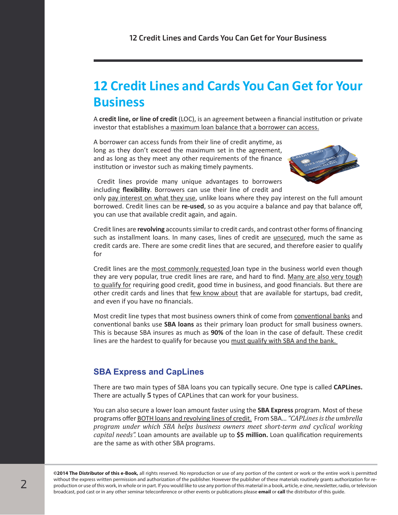# **12 Credit Lines and Cards You Can Get for Your Business**

A **credit line, or line of credit** (LOC), is an agreement between a financial institution or private investor that establishes a maximum loan balance that a borrower can access.

A borrower can access funds from their line of credit anytime, as long as they don't exceed the maximum set in the agreement, and as long as they meet any other requirements of the finance institution or investor such as making timely payments.



Credit lines provide many unique advantages to borrowers including **flexibility**. Borrowers can use their line of credit and

only pay interest on what they use, unlike loans where they pay interest on the full amount borrowed. Credit lines can be **re-used**, so as you acquire a balance and pay that balance off, you can use that available credit again, and again.

Credit lines are **revolving** accounts similar to credit cards, and contrast other forms of financing such as installment loans. In many cases, lines of credit are unsecured, much the same as credit cards are. There are some credit lines that are secured, and therefore easier to qualify for

Credit lines are the most commonly requested loan type in the business world even though they are very popular, true credit lines are rare, and hard to find. Many are also very tough to qualify for requiring good credit, good time in business, and good financials. But there are other credit cards and lines that few know about that are available for startups, bad credit, and even if you have no financials.

Most credit line types that most business owners think of come from conventional banks and conventional banks use **SBA loans** as their primary loan product for small business owners. This is because SBA insures as much as **90%** of the loan in the case of default. These credit lines are the hardest to qualify for because you must qualify with SBA and the bank.

## **SBA Express and CapLines**

There are two main types of SBA loans you can typically secure. One type is called **CAPLines.** There are actually **5** types of CAPLines that can work for your business.

You can also secure a lower loan amount faster using the **SBA Express** program. Most of these programs offer BOTH loans and revolving lines of credit. From SBA… *"CAPLines is the umbrella program under which SBA helps business owners meet short-term and cyclical working capital needs".* Loan amounts are available up to **\$5 million.** Loan qualification requirements are the same as with other SBA programs.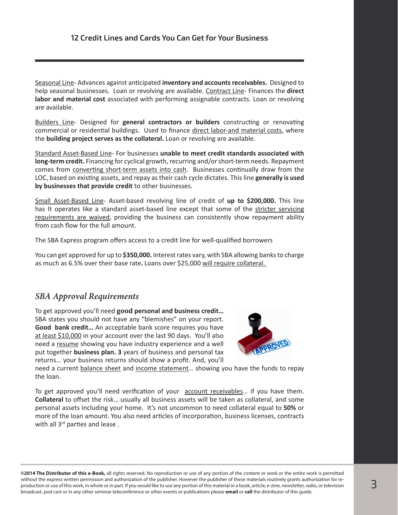Seasonal Line- Advances against anticipated **inventory and accounts receivables.** Designed to help seasonal businesses. Loan or revolving are available. Contract Line- Finances the **direct labor and material cost** associated with performing assignable contracts. Loan or revolving are available.

Builders Line- Designed for **general contractors or builders** constructing or renovating commercial or residential buildings. Used to finance direct labor-and material costs, where the **building project serves as the collateral.** Loan or revolving are available.

Standard Asset-Based Line- For businesses **unable to meet credit standards associated with long-term credit.** Financing for cyclical growth, recurring and/or short-term needs. Repayment comes from **converting short-term assets into cash**. Businesses continually draw from the LOC, based on existing assets, and repay as their cash cycle dictates. This line **generally is used by businesses that provide credit** to other businesses.

Small Asset-Based Line- Asset-based revolving line of credit of **up to \$200,000.** This line has It operates like a standard asset-based line except that some of the stricter servicing requirements are waived, providing the business can consistently show repayment ability from cash flow for the full amount.

The SBA Express program offers access to a credit line for well-qualified borrowers

You can get approved for up to **\$350,000.** Interest rates vary, with SBA allowing banks to charge as much as 6.5% over their base rate**.** Loans over \$25,000 will require collateral.

## *SBA Approval Requirements*

To get approved you'll need **good personal and business credit…** SBA states you should not have any "blemishes" on your report. **Good bank credit…** An acceptable bank score requires you have at least \$10,000 in your account over the last 90 days. You'll also need a resume showing you have industry experience and a well put together **business plan. 3** years of business and personal tax returns… your business returns should show a profit. And, you'll



need a current balance sheet and income statement... showing you have the funds to repay the loan.

To get approved you'll need verification of your account receivables… if you have them. **Collateral** to offset the risk… usually all business assets will be taken as collateral, and some personal assets including your home. It's not uncommon to need collateral equal to **50%** or more of the loan amount. You also need articles of incorporation, business licenses, contracts with all 3<sup>rd</sup> parties and lease.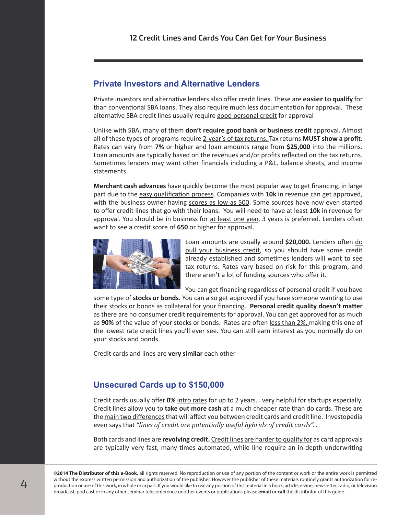#### **Private Investors and Alternative Lenders**

Private investors and alternative lenders also offer credit lines. These are **easier to qualify** for than conventional SBA loans. They also require much less documentation for approval.These alternative SBA credit lines usually require good personal credit for approval

Unlike with SBA, many of them **don't require good bank or business credit** approval. Almost all of these types of programs require 2-year's of tax returns. Tax returns **MUST show a profit.**  Rates can vary from **7%** or higher and loan amounts range from **\$25,000** into the millions. Loan amounts are typically based on the revenues and/or profits reflected on the tax returns. Sometimes lenders may want other financials including a P&L, balance sheets, and income statements.

**Merchant cash advances** have quickly become the most popular way to get financing, in large part due to the easy qualification process. Companies with **10k** in revenue can get approved, with the business owner having scores as low as 500. Some sources have now even started to offer credit lines that go with their loans. You will need to have at least **10k** in revenue for approval. You should be in business for at least one year, 3 years is preferred. Lenders often want to see a credit score of **650** or higher for approval.



Loan amounts are usually around **\$20,000.** Lenders often do pull your business credit, so you should have some credit already established and sometimes lenders will want to see tax returns. Rates vary based on risk for this program, and there aren't a lot of funding sources who offer it.

You can get financing regardless of personal credit if you have

some type of stocks or bonds. You can also get approved if you have someone wanting to use their stocks or bonds as collateral for your financing. **Personal credit quality doesn't matter** as there are no consumer credit requirements for approval. You can get approved for as much as **90%** of the value of your stocks or bonds. Rates are often less than 2%, making this one of the lowest rate credit lines you'll ever see. You can still earn interest as you normally do on your stocks and bonds.

Credit cards and lines are **very similar** each other

#### **Unsecured Cards up to \$150,000**

Credit cards usually offer **0%** intro rates for up to 2 years… very helpful for startups especially. Credit lines allow you to **take out more cash** at a much cheaper rate than do cards. These are the main two differences that will affect you between credit cards and credit line. Investopedia even says that *"lines of credit are potentially useful hybrids of credit cards"…*

Both cards and lines are **revolving credit.** Credit lines are harder to qualify for as card approvals are typically very fast, many times automated, while line require an in-depth underwriting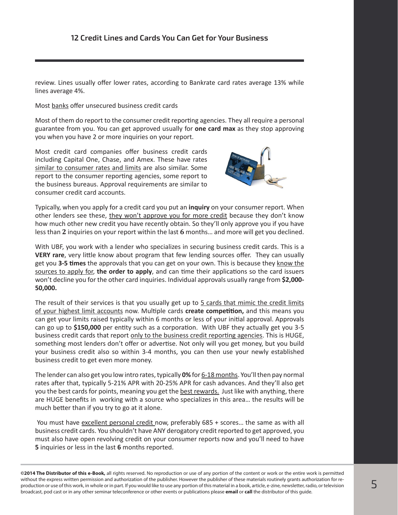review. Lines usually offer lower rates, according to Bankrate card rates average 13% while lines average 4%.

Most banks offer unsecured business credit cards

Most of them do report to the consumer credit reporting agencies. They all require a personal guarantee from you. You can get approved usually for **one card max** as they stop approving you when you have 2 or more inquiries on your report.

Most credit card companies offer business credit cards including Capital One, Chase, and Amex. These have rates similar to consumer rates and limits are also similar. Some report to the consumer reporting agencies, some report to the business bureaus. Approval requirements are similar to consumer credit card accounts.



Typically, when you apply for a credit card you put an **inquiry** on your consumer report. When other lenders see these, they won't approve you for more credit because they don't know how much other new credit you have recently obtain. So they'll only approve you if you have less than **2** inquiries on your report within the last **6** months… and more will get you declined.

With UBF, you work with a lender who specializes in securing business credit cards. This is a **VERY rare**, very little know about program that few lending sources offer.They can usually get you **3-5 times** the approvals that you can get on your own. This is because they know the sources to apply for, **the order to apply**, and can time their applications so the card issuers won't decline you for the other card inquiries. Individual approvals usually range from **\$2,000- 50,000.**

The result of their services is that you usually get up to 5 cards that mimic the credit limits of your highest limit accounts now. Multiple cards **create competition,** and this means you can get your limits raised typically within 6 months or less of your initial approval. Approvals can go up to **\$150,000** per entity such as a corporation. With UBF they actually get you 3-5 business credit cards that report only to the business credit reporting agencies. This is HUGE, something most lenders don't offer or advertise. Not only will you get money, but you build your business credit also so within 3-4 months, you can then use your newly established business credit to get even more money.

The lender can also get you low intro rates, typically **0%** for 6-18 months. You'll then pay normal rates after that, typically 5-21% APR with 20-25% APR for cash advances. And they'll also get you the best cards for points, meaning you get the **best rewards**. Just like with anything, there are HUGE benefits in working with a source who specializes in this area… the results will be much better than if you try to go at it alone.

 You must have excellent personal credit now, preferably 685 + scores… the same as with all business credit cards. You shouldn't have ANY derogatory credit reported to get approved, you must also have open revolving credit on your consumer reports now and you'll need to have **5** inquiries or less in the last **6** months reported.